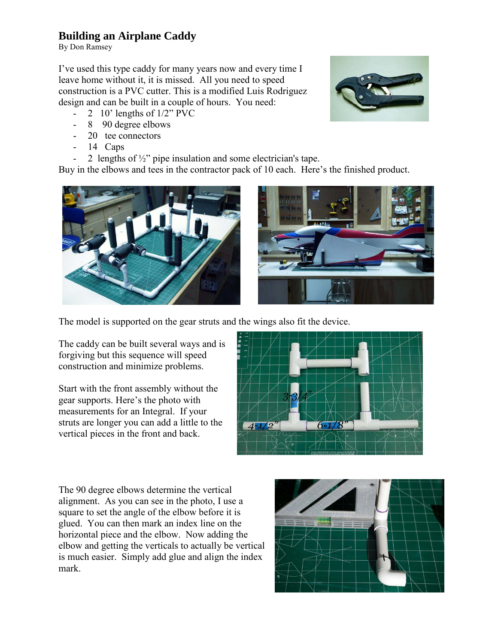## **Building an Airplane Caddy**

By Don Ramsey

I've used this type caddy for many years now and every time I leave home without it, it is missed. All you need to speed construction is a PVC cutter. This is a modified Luis Rodriguez design and can be built in a couple of hours. You need:

- 2 10' lengths of 1/2" PVC
- 8 90 degree elbows
- 20 tee connectors
- $14$  Caps
- 2 lengths of  $\frac{1}{2}$ " pipe insulation and some electrician's tape.

Buy in the elbows and tees in the contractor pack of 10 each. Here's the finished product.





The model is supported on the gear struts and the wings also fit the device.

The caddy can be built several ways and is forgiving but this sequence will speed construction and minimize problems.

Start with the front assembly without the gear supports. Here's the photo with measurements for an Integral. If your struts are longer you can add a little to the vertical pieces in the front and back.



The 90 degree elbows determine the vertical alignment. As you can see in the photo, I use a square to set the angle of the elbow before it is glued. You can then mark an index line on the horizontal piece and the elbow. Now adding the elbow and getting the verticals to actually be vertical is much easier. Simply add glue and align the index mark.



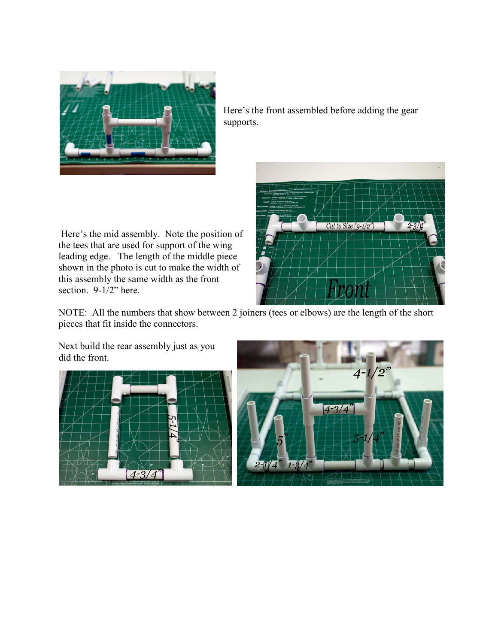

Here's the front assembled before adding the gear supports.

 Here's the mid assembly. Note the position of the tees that are used for support of the wing leading edge. The length of the middle piece shown in the photo is cut to make the width of this assembly the same width as the front section. 9-1/2" here.



NOTE: All the numbers that show between 2 joiners (tees or elbows) are the length of the short pieces that fit inside the connectors.

Next build the rear assembly just as you did the front.